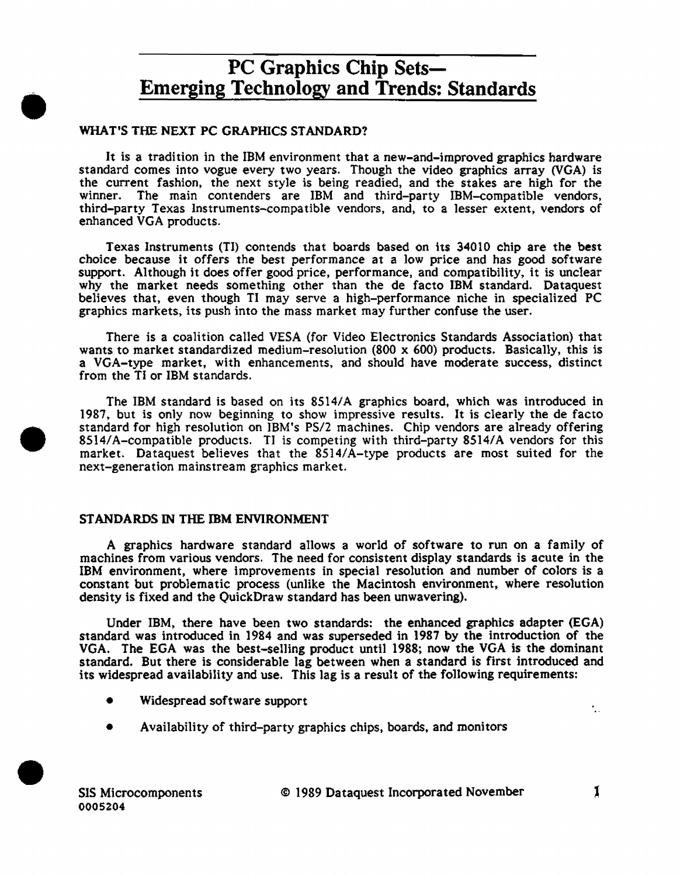## WHAT'S THE NEXT PC GRAPHICS STANDARD?

•

•

•

It is a tradition in the IBM environment that a new-and-improved graphics hardware standard comes into vogue every two years. Though the video graphics array (VGA) is the current fashion, the next style is being readied, and the stakes are high for the winner. The main contenders are IBM and third-party IBM-compatible vendors, third-party Texas Instruments-compatible vendors. and, to a lesser extent, vendors of enhanced VGA products.

Texas Instruments (TI) contends that boards based on its 34010 chip are the best choice because it offers the best performance at a low price and has good software support. Although it does offer good price, performance, and compatibility, it is unclear why the market needs something other than the de facto IBM standard. Dataquest believes that, even though TI may serve a high-performance niche in specialized PC graphics markets, its push into the mass market may further confuse the user.

There is a coalition called VESA (for Video Electronics Standards Association) that wants to market standardized medium-resolution (800 x 600) products. Basically, this is a VGA-type market, with enhancements, and should have moderate success, distinct from the TI or IBM standards.

The IBM standard is based on its 8514/A graphics board, which was introduced in 1987, but is only now beginning to show impressive results. It is clearly the de facto standard for high resolution on IBM's PS/2 machines. Chip vendors are already offering 8514/A-compatible products. TI is competing with third-party 8514/A vendors for this market. Dataquest believes that the 8514/A-type products are most suited for the next-generation mainstream graphics market.

## STANDARDS IN THE IBM ENVIRONMENT

A graphics hardware standard allows a world of software to run on a family of machines from various vendors. The need for consistent display standards is acute in the IBM environment, where improvements in special resolution and number of colors is a constant but problematic process (unlike the Macintosh environment, where resolution density is fixed and the QuickDraw standard has been unwavering).

Under IBM, there have been two standards: the enhanced graphics adapter (EGA) standard was introduced in 1984 and was superseded in 1987 by the introduction of the VGA. The EGA was the best-selling product until 1988; now the VGA is the dominant standard. But there is considerable lag between when a standard is first introduced and its widespread availability and use. This lag is a result of the following requirements:

- Widespread software support
- Availability of third-party graphics chips, boards, and monitors

۰.,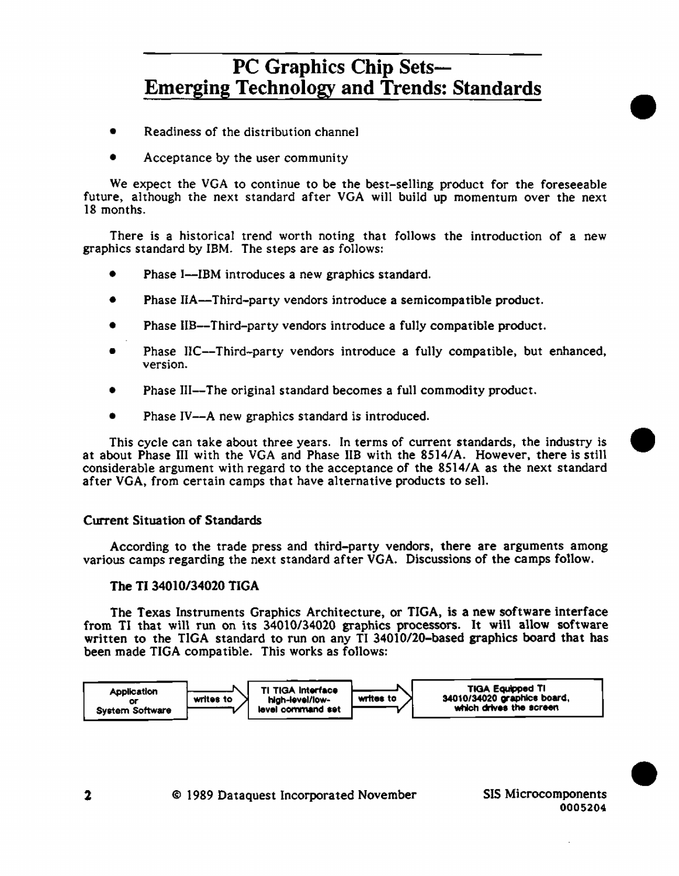- Readiness of the distribution channel
- Acceptance by the user community

We expect the VGA to continue to be the best-selling product for the foreseeable future, although the next standard after VGA will build up momentum over the next 18 months.

There is a historical trend worth noting that follows the introduction of a new graphics standard by IBM. The steps are as follows:

- Phase I-IBM introduces a new graphics standard.
- Phase HA-Third-party vendors introduce a semicompatible product.
- Phase IIB--Third-party vendors introduce a fully compatible product.
- Phase IIC--Third-party vendors introduce a fully compatible, but enhanced, version.
- Phase III--The original standard becomes a full commodity product.
- Phase IV--A new graphics standard is introduced.

This cycle can take about three years. In terms of current standards, the industry is • at about Phase III with the VGA and Phase IIB with the 8514/A. However, there is still considerable argument with regard to the acceptance of the 8514/A as the next standard after VGA, from certain camps that have alternative products to sell.

## Current Situation of Standards

According to the trade press and third-party vendors, there are arguments among various camps regarding the next standard after VGA. Discussions of the camps follow.

## The TI 34010/34020 TIGA

The Texas Instruments Graphics Architecture, or TIGA, is a new software interface from TI that will run on its 34010/34020 graphics processors. It will allow software written to the TIGA standard to run on any TI 34010/20-based graphics board that has been made TIGA compatible. This works as follows:

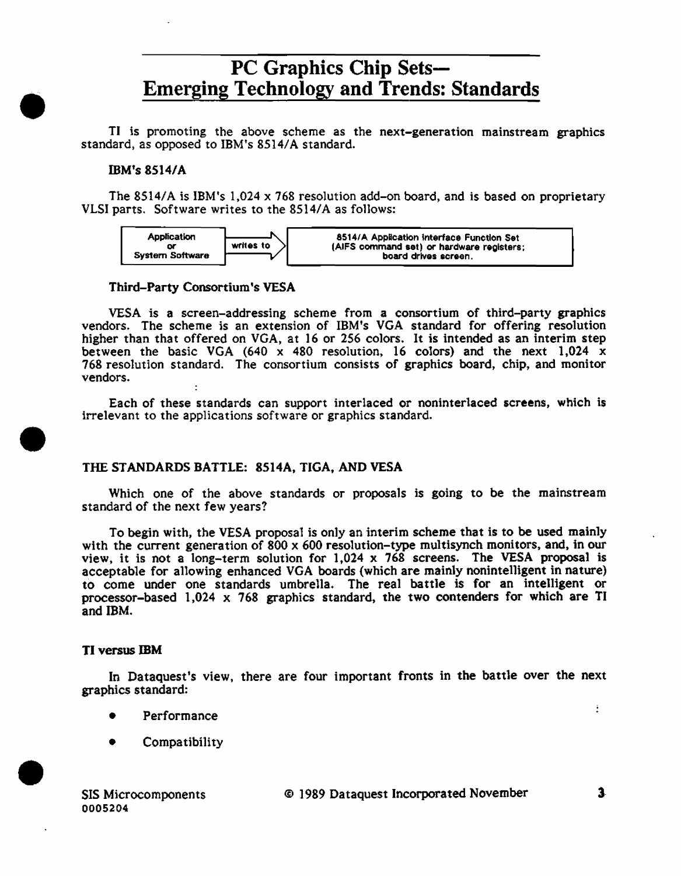TI is promoting the above scheme as the next-generation mainstream graphics standard, as opposed to IBM's 8514/A standard.

### IBM's 8514/A

•

•

•

The 8514/A is IBM's 1,024 x 768 resolution add-on board, and is based on proprietary VLSI parts. Software writes to the 8514/A as fo11ows:



#### Third-Party Consortium's VESA

VESA is a screen-addressing scheme from a consortium of third-party graphics vendors. The scheme is an extension of IBM's VGA standard for offering resolution higher than that offered on VGA, at 16 or 256 colors. It is intended as an interim step between the basic VGA (640 x 480 resolution, 16 colors) and the next  $1,024$  x 768 resolution standard. The consortium consists of graphics board, chip, and monitor vendors.

Each of these standards can support interlaced or noninterlaced screens, which is irrelevant to the applications software or graphics standard.

### THE STANDARDS BATTLE: 8514A, TIGA, AND VESA

Which one of the above standards or proposals is going to be the mainstream standard of the next few years?

To begin with, the VESA proposal is only an interim scheme that is to be used mainly with the current generation of 800 x 600 resolution-type multisynch monitors, and, in our view, it is not a long-term solution for 1,024 x 768 screens. The VESA proposal is acceptable for allowing enhanced VGA boards (which are mainly nonintelligent in nature) to come under one standards umbrella. The real battle is for an intelligent or processor-based 1,024 x 768 graphics standard, the two contenders for which are TI and IBM.

#### TI versus IBM

In Dataquest's view, there are four important fronts in the battle over the next graphics standard:

- Performance
- Compatibility

SIS Microcomponents 0005204

© 1989 Dataquest Incorporated November 3-

ŧ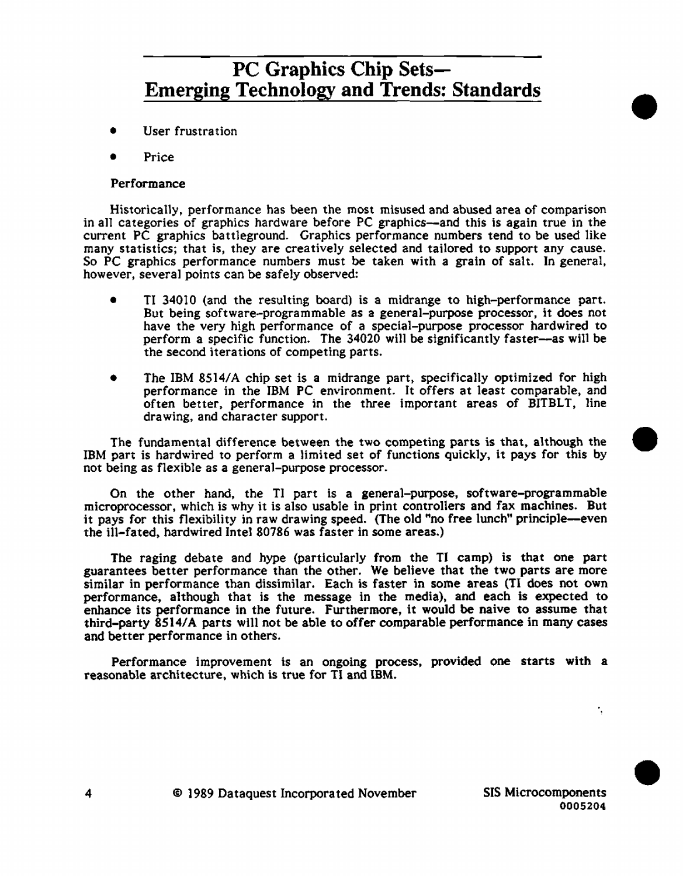- User frustration
- Price

## Performance

Historically, performance has been the most misused and abused area of comparison in all categories of graphics hardware before PC graphics-and this is again true in the current PC graphics battleground. Graphics performance numbers tend to be used like many statistics; that is, they are creatively selected and tailored to support any cause. So PC graphics performance numbers must be taken with a grain of sa1t. In genera], however, severa1 points can be safely observed:

- Tl 34010 (and the resulting board) is a midrange to high-performance part. But being software-programmable as a general-purpose processor, it does not have the very high performance of a specia1-purpose processor hardwired to perform a specific function. The 34020 wi11 be significantly faster-as will be the second iterations of competing parts.
- The IBM 8514/A chip set is a midrange part, specifically optimized for high performance in the IBM PC environment. It offers at 1east comparable, and often better, performance in the three important areas of BITBLT, 1ine drawing, and character support.

The fundamental difference between the two competing parts is that, although the • IBM part is hardwired to perform a limited set of functions quickly, it pays for this by not being as flexible as a general-purpose processor.

On the other hand, the TI part is a general-purpose, software-programmable microprocessor, which is why it is also usable in print controllers and fax machines. But it pays for this flexibility in raw drawing speed. (The old "no free lunch" principle-even the ill-fated, hardwired Intel 80786 was faster in some areas.)

The raging debate and hype (particularly from the Tl camp) is that one part guarantees better performance than the other. We be1ieve that the two parts are more similar in performance than dissimilar. Each is faster in some areas (TI does not own performance, although that is the message in the media), and each is expected to enhance its performance in the future. Furthermore, it would be naive to assume that third-party 8514/A parts will not be able to offer comparable performance in many cases and better performance in others.

Performance improvement is an ongoing process, provided one starts with a reasonable architecture, which is true for TI and IBM.

t,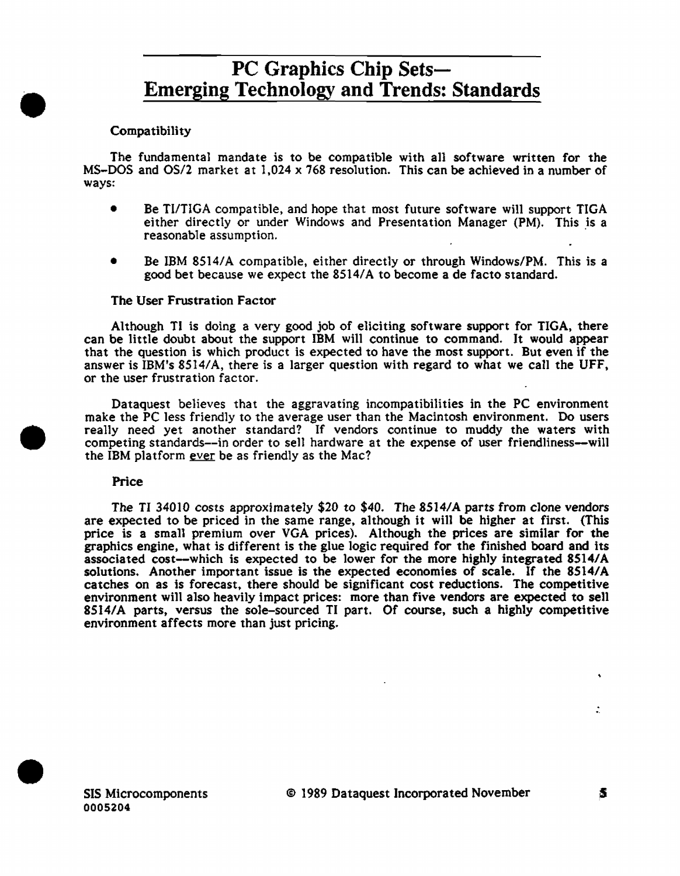## **Compatibility**

•

•

•

The fundamental mandate is to be compatible with all software written for the MS-DOS and OS/2 market at 1,024 x 768 resolution. This can be achieved in a number of ways:

- Be Tl/TICA compatible, and hope that most future software will support TICA either directly or under Windows and Presentation Manager (PM). This is a reasonable assumption.
- Be IBM 8514/A compatible, either directly or through Windows/PM. This is a good bet because we expect the 8514/A to become a de facto standard.

### The User Frustration Factor

Although TI is doing a very good job of eliciting software support for TICA, there can be little doubt about the support IBM will continue to command. It would appear that the question is which product is expected to have the most support. But even if the answer is IBM's  $8514/A$ , there is a larger question with regard to what we call the UFF, or the user frustration factor.

Dataquest believes that the aggravating incompatibilities in the PC environment make the PC less friendly to the average user than the Macintosh environment. Do users really need yet another standard? If vendors continue to muddy the waters with competing standards--in order to sell hardware at the expense of user friendliness-will the IBM platform ever be as friendly as the Mac?

### Price

The TI 34010 costs approximately \$20 to \$40. The 8514/A parts from clone vendors are expected to be priced in the same range, although it wi11 be higher at first. (This price is a small premium over VGA prices). Although the prices are similar for the graphics engine, what is different is the glue logic required for the finished board and its associated cost-which is expected to be lower for the more highly integrated 8514/A solutions. Another important issue is the expected economies of scale. If the 8514/A catches on as is forecast, there should be significant cost reductions. The competitive environment will also heavily impact prices: more than five vendors are expected to sell 8514/A parts, versus the sole-sourced TI part. Of course, such a highly competitive environment affects more than just pricing.



÷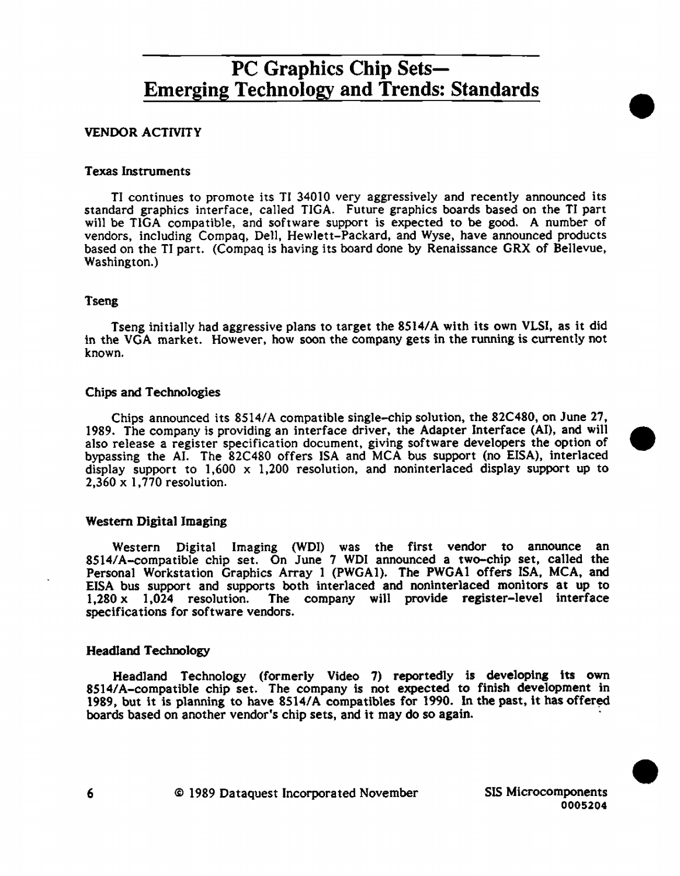### **VENDOR ACTIVITY**

### Texas Instruments

TI continues to promote its TI 34010 very aggressively and recently announced its standard graphics interface, cal1ed TIGA. Future graphics boards based on the TI part will be TIGA compatible, and software support is expected to be good. A number of vendors, including Compaq, De11, Hewlett-Packard, and Wyse, have announced products based on the TI part. (Compaq is having its board done by Renaissance GRX of Bellevue, Washington.)

#### Tseng

Tseng initia11y had aggressive plans to target the 8514/A with its own VLSI, as it did in the VGA market. However, how soon the company gets in the running is currently not known.

#### Chips and Technologies

Chips announced its 8514/A compatible single-chip solution, the 82C480, on June 27, 1989. The company is providing an interface driver, the Adapter Interface (Al), and will • also release a register specification document, giving software developers the option of bypassing the AI. The 82C480 offers ISA and MCA bus support (no EISA), interlaced display support to  $1,600 \times 1,200$  resolution, and noninterlaced display support up to 2,360 x 1, 770 resolution.

### Western Digital Imaging

Western Digital Imaging (WDI) was the first vendor to announce 8514/A-compatible chip set. On June 7 WDI announced a two-chip set, called the Personal Workstation Graphics Array 1 (PWGAI). The PWGAI offers ISA, MCA, and EISA bus support and supports both interlaced and noninterlaced monitors at up to  $1.280 \times 1.024$  resolution. The company will provide register-level interface The company will provide register-level interface specifications for software vendors.

#### Headland Technology

Headland Technology (formerly Video 7) reportedly is developing its own 8514/A-compatible chip set. The company is not expected to finish development in 1989, but it is planning to have 8514/A compatibles for 1990. In the past, it has offered boards based on another vendor's chip sets, and it may do so again. ·

6 @ 1989 Dataquest Incorporated November SIS Microcomponents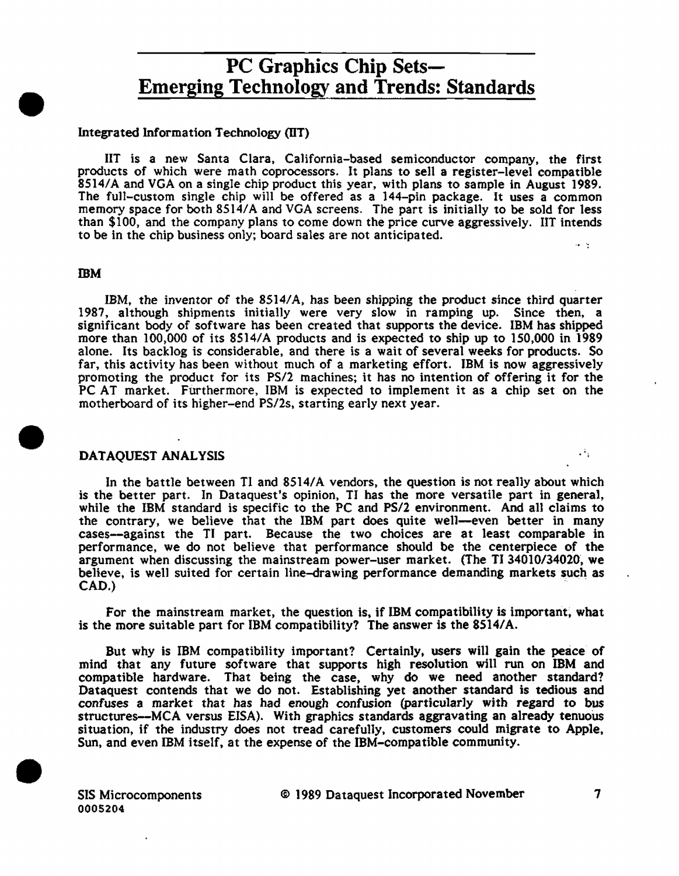### Integrated Information Technology (IIT)

HT is a new Santa Clara, Ca1ifornia-based semiconductor company, the first products of which were math coprocessors. It plans to sell a register-level compatible 8514/A and VGA on a single chip product this year, with plans to sample in August 1989. The fu11-custom single chip will be offered as a 144-pin package. It uses a common memory space for both 8514/A and VGA screens. The part is initially to be sold for less than \$100, and the company plans to come down the price curve aggressively. IIT intends to be in the chip business only; board sales are not anticipated.

#### **TBM**

•

•

•

IBM, the inventor of the 8514/A, has been shipping the product since third quarter 1987, although shipments initia11y were very slow in ramping up. Since then, a significant body of software has been created that supports the device. IBM has shipped more than 100,000 of its 8514/A products and is expected to ship up to 150,000 in 1989 alone. Its backlog is considerable, and there is a wait of several weeks for products. So far, this activity has been without much of a marketing effort. IBM is now aggressively promoting the product for its PS/2 machines; it has no intention of offering it for the PC AT market. Furthermore, IBM is expected to implement it as a chip set on the motherboard of its higher-end PS/2s, starting early next year.

### DATAQUEST ANALYSIS

In the battle between Tl and 8514/A vendors, the question is not really about which is the better part. In Dataquest's opinion, Tl has the more versatile part in general, while the IBM standard is specific to the PC and PS/2 environment. And all claims to the contrary, we believe that the IBM part does quite well—even better in many cases-against the TI part. Because the two choices are at least comparable in performance, we do not believe that performance should be the centerpiece of the argument when discussing the mainstream power-user market. (The TI 34010/34020, we believe, is well suited for certain line-drawing performance demanding markets such as CAD.) The contract of the contract of the contract of the contract of the contract of the contract of the contract of the contract of the contract of the contract of the contract of the contract of the contract of the cont

For the mainstream market, the question is, if IBM compatibility is important, what is the more suitable part for IBM compatibility? The answer is the 8514/A.

But why is IBM compatibility important? Certainly, users will gain the peace of mind that any future software that supports high resolution will run on IBM and compatible hardware. That being the case, why do we need another standard? Dataquest contends that we do not. Establishing yet another standard is tedious and confuses a market that has had enough confusion (particularly with regard to bus structures--MCA versus EISA). With graphics standards aggravating an already tenuous situation, if the industry does not tread carefully, customers could migrate to Apple, Sun, and even IBM itself, at the expense of the IBM-compatible community .

SIS Microcomponents 0005204

© I 989 Dataquest Incorporated November 7

 $\mathcal{A}_{\mathcal{A}}$